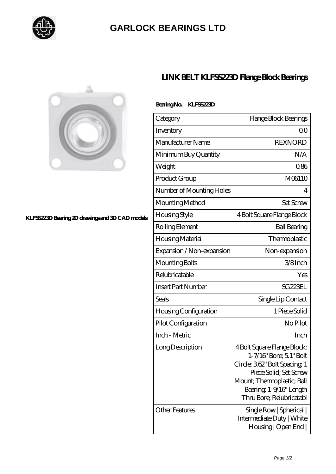

## **[GARLOCK BEARINGS LTD](https://m.letterstopriests.com)**



## **[KLFSS223D Bearing 2D drawings and 3D CAD models](https://m.letterstopriests.com/pic-188828.html)**

## **[LINK BELT KLFSS223D Flange Block Bearings](https://m.letterstopriests.com/bz-188828-link-belt-klfss223d-flange-block-bearings.html)**

| Category                     | Flange Block Bearings                                                                                                                                                                                |
|------------------------------|------------------------------------------------------------------------------------------------------------------------------------------------------------------------------------------------------|
| Inventory                    | Q0                                                                                                                                                                                                   |
| Manufacturer Name            | <b>REXNORD</b>                                                                                                                                                                                       |
| Minimum Buy Quantity         | N/A                                                                                                                                                                                                  |
| Weight                       | 086                                                                                                                                                                                                  |
| Product Group                | M06110                                                                                                                                                                                               |
| Number of Mounting Holes     | 4                                                                                                                                                                                                    |
| Mounting Method              | <b>Set Screw</b>                                                                                                                                                                                     |
| <b>Housing Style</b>         | 4 Bolt Square Flange Block                                                                                                                                                                           |
| Rolling Element              | <b>Ball Bearing</b>                                                                                                                                                                                  |
| Housing Material             | Thermoplastic                                                                                                                                                                                        |
| Expansion / Non-expansion    | Non-expansion                                                                                                                                                                                        |
| Mounting Bolts               | 3/8Inch                                                                                                                                                                                              |
| Relubricatable               | Yes                                                                                                                                                                                                  |
| <b>Insert Part Number</b>    | SG <sub>223EL</sub>                                                                                                                                                                                  |
| Seals                        | Single Lip Contact                                                                                                                                                                                   |
| <b>Housing Configuration</b> | 1 Piece Solid                                                                                                                                                                                        |
| Pilot Configuration          | No Pilot                                                                                                                                                                                             |
| Inch - Metric                | Inch                                                                                                                                                                                                 |
| Long Description             | 4 Bolt Square Flange Block;<br>1-7/16" Bore; 5.1" Bolt<br>Circle; 362" Bolt Spacing 1<br>Piece Solid: Set Screw<br>Mount; Thermoplastic; Ball<br>Bearing, 1-9/16" Length<br>Thru Bore; Relubricatabl |
| <b>Other Features</b>        | Single Row   Spherical  <br>Intermediate Duty   White<br>Housing   Open End                                                                                                                          |